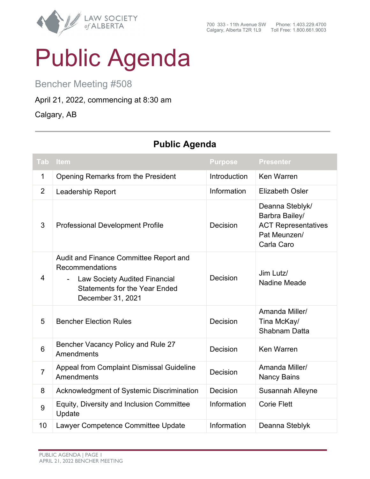

## Public Agenda

Bencher Meeting #508

## April 21, 2022, commencing at 8:30 am

Calgary, AB

## **Tab Item Purpose Presenter** 1 Opening Remarks from the President Introduction Ken Warren 2 Leadership Report **Information** Elizabeth Osler 3 Professional Development Profile Decision Deanna Steblyk/ Barbra Bailey/ ACT Representatives Pat Meunzen/ Carla Caro 4 Audit and Finance Committee Report and Recommendations Law Society Audited Financial Statements for the Year Ended December 31, 2021 Decision Jim Lutz/ Nadine Meade 5 Bencher Election Rules **Decision** Amanda Miller/ Tina McKay/ Shabnam Datta 6 Bencher Vacancy Policy and Rule 27 **Amendments** Decision Ken Warren <sup>7</sup> Appeal from Complaint Dismissal Guideline Amendments Decision Amanda Miller/ Nancy Bains 8 Acknowledgment of Systemic Discrimination Decision Susannah Alleyne  $\mathbf{g}$  | Equity, Diversity and Inclusion Committee Update Information | Corie Flett 10 Lawyer Competence Committee Update Information Deanna Steblyk

## **Public Agenda**